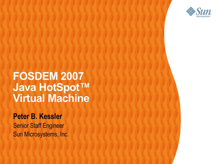

### **FOSDEM 2007 Java HotSpot™ Virtual Machine**

,,,,,,,,,,,,,,,,,,,,,,,,,

,,,,,,,,,,,,,,,,,,,,,,,,,,

19999999999999999999999

22222222

 $\begin{array}{c} \mathcal{O} & \mathcal{O} & \mathcal{O} & \mathcal{O} & \mathcal{O} & \mathcal{O} & \mathcal{O} & \mathcal{O} & \mathcal{O} & \mathcal{O} & \mathcal{O} & \mathcal{O} & \mathcal{O} & \mathcal{O} & \mathcal{O} & \mathcal{O} & \mathcal{O} & \mathcal{O} & \mathcal{O} & \mathcal{O} & \mathcal{O} & \mathcal{O} & \mathcal{O} & \mathcal{O} & \mathcal{O} & \mathcal{O} & \mathcal{O} & \mathcal{O} & \mathcal{O} & \mathcal{O} & \mathcal$ 

0000000000

#### **Peter B. Kessler**

Senior Staff Engineer Sun Microsystems, Inc.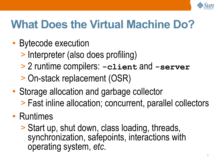

### **What Does the Virtual Machine Do?**

- Bytecode execution
	- > Interpreter (also does profiling)
	- > 2 runtime compilers: **-client** and **-server**
	- > On-stack replacement (OSR)
- Storage allocation and garbage collector > Fast inline allocation; concurrent, parallel collectors
- Runtimes
	- > Start up, shut down, class loading, threads, synchronization, safepoints, interactions with operating system, *etc*.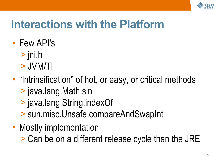

## **Interactions with the Platform**

- Few API's
	- > jni.h
	- > JVM/TI
- "Intrinsification" of hot, or easy, or critical methods
	- > java.lang.Math.sin
	- > java.lang.String.indexOf
	- > sun.misc.Unsafe.compareAndSwapInt
- Mostly implementation
	- > Can be on a different release cycle than the JRE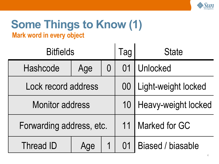

#### **Some Things to Know (1) Mark word in every object**

| <b>Bitfields</b>         |     |          | Tag | <b>State</b>             |
|--------------------------|-----|----------|-----|--------------------------|
| Hashcode                 | Age | $\Omega$ | 01  | Unlocked                 |
| Lock record address      |     |          | 00  | Light-weight locked      |
| <b>Monitor address</b>   |     |          | 10  | Heavy-weight locked      |
| Forwarding address, etc. |     |          | 11  | <b>Marked for GC</b>     |
| Thread ID                | Age |          | 01  | <b>Biased / biasable</b> |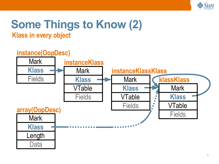

#### **Some Things to Know (2) Klass in every object**

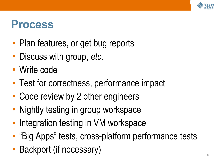

### **Process**

- Plan features, or get bug reports
- Discuss with group, *etc*.
- Write code
- Test for correctness, performance impact
- Code review by 2 other engineers
- Nightly testing in group workspace
- Integration testing in VM workspace
- "Big Apps" tests, cross-platform performance tests
- Backport (if necessary)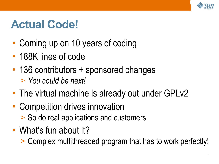

### **Actual Code!**

- Coming up on 10 years of coding
- 188K lines of code
- 136 contributors + sponsored changes > *You could be next!*
- The virtual machine is already out under GPLv2
- Competition drives innovation > So do real applications and customers
- What's fun about it?
	- > Complex multithreaded program that has to work perfectly!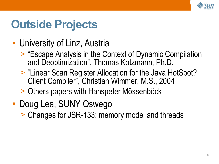

### **Outside Projects**

- University of Linz, Austria
	- > "Escape Analysis in the Context of Dynamic Compilation and Deoptimization" , Thomas Kotzmann, Ph.D.
	- > "Linear Scan Register Allocation for the Java HotSpot? Client Compiler" , Christian Wimmer, M.S., 2004
	- > Others papers with Hanspeter Mössenböck
- Doug Lea, SUNY Oswego
	- > Changes for JSR-133: memory model and threads